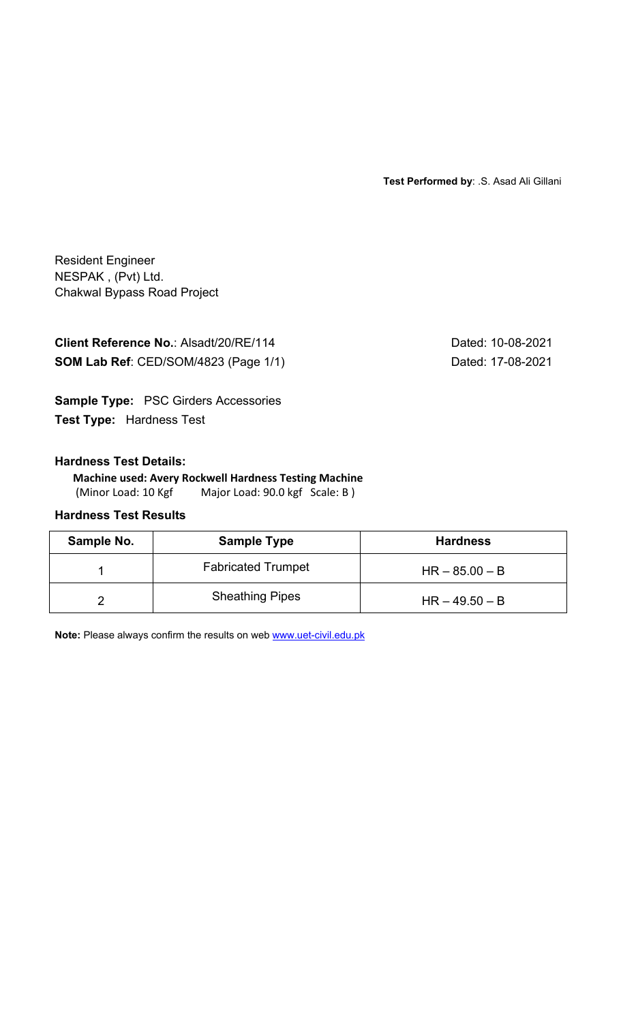**Test Performed by**: .S. Asad Ali Gillani

Resident Engineer NESPAK , (Pvt) Ltd. Chakwal Bypass Road Project

**Client Reference No.: Alsadt/20/RE/114** Dated: 10-08-2021 **SOM Lab Ref**: CED/SOM/4823 (Page 1/1) Dated: 17-08-2021

**Sample Type:** PSC Girders Accessories **Test Type:** Hardness Test

## **Hardness Test Details:**

## **Machine used: Avery Rockwell Hardness Testing Machine**

(Minor Load: 10 Kgf Major Load: 90.0 kgf Scale: B)

# **Hardness Test Results**

| Sample No. | <b>Sample Type</b>        | <b>Hardness</b>  |
|------------|---------------------------|------------------|
|            | <b>Fabricated Trumpet</b> | $HR - 85.00 - B$ |
|            | <b>Sheathing Pipes</b>    | $HR - 49.50 - B$ |

**Note:** Please always confirm the results on web www.uet-civil.edu.pk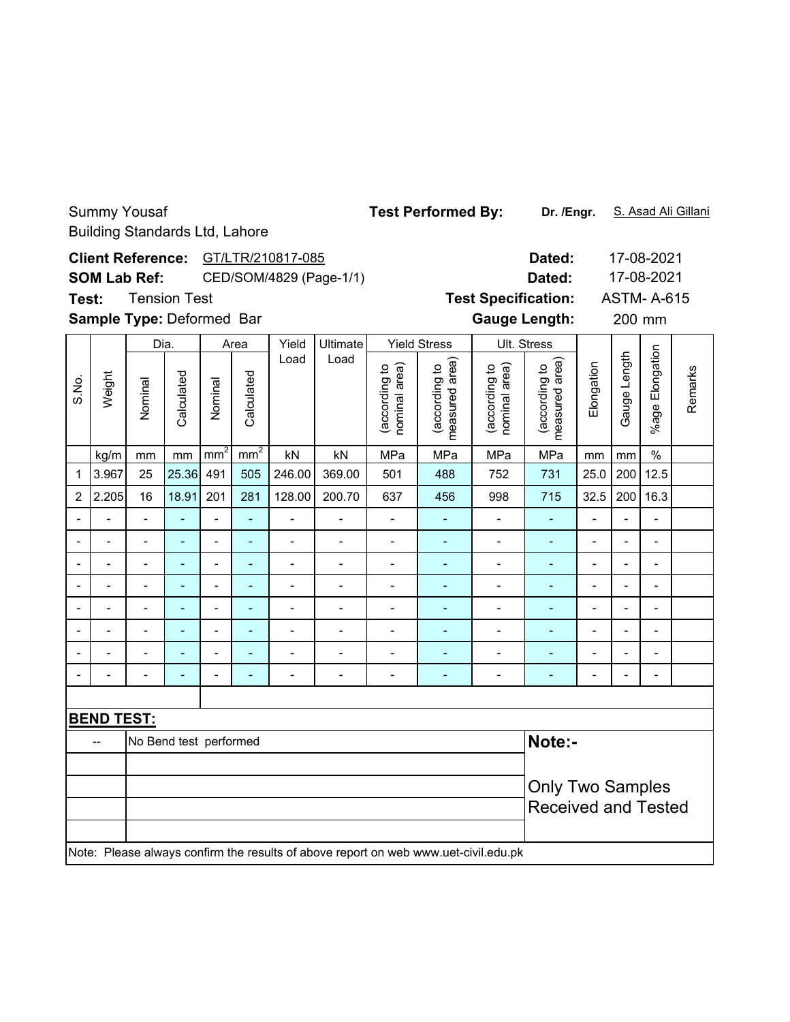### Building Standards Ltd, Lahore **Dated:** 17-08-2021 Client Reference: GT/LTR/210817-085 17-08-2021 **SOM Lab Ref:** CED/SOM/4829 (Page-1/1) **Dated:** Tension Test **Test Specification:** ASTM- A-615 **Test: Sample Type:** Deformed Bar **manufath:** Cauge Length: 200 mm 200 mm Dia. Area Yield Ultimate Yield Stress Ult. Stress %age Elongation %age Elongation Load Load (according to<br>measured area) (according to<br>measured area) Gauge Length Gauge Length (according to<br>nominal area) measured area) (according to<br>nominal area) measured area) **Elongation** (according to (according to (according to (according to nominal area) nominal area) Weight Calculated Calculated S.No. Calculated Calculated Nominal Nominal kg/m | mm | mm | mm² | nm² | kN | kN | MPa | MPa | MPa | MPa | mm | mm | % 1 3.967 25 25.36 491 505 246.00 369.00 501 488 752 731 25.0 200 12.5 2 |2.205| 16 |18.91| 201 | 281 |128.00| 200.70 | 637 | 456 | 998 | 715 |32.5 |200 |16.3 -- - - - - - - - - - - - -- -- - - - - - - - - - - - -- -- - - - - - - - - - - - -- -- - - - - - - - - - - - -- -- - - - - - - - - - - - -- -- - - - - - - - - - - - -- -- - - - - - - - - - - - -- -- - - - - - - - - - - - -- **BEND TEST:** -- No Bend test performed **Note:-**Only Two Samples Received and Tested

Note: Please always confirm the results of above report on web www.uet-civil.edu.pk

Summy Yousaf

Test Performed By: Dr. /Engr. S. Asad Ali Gillani

**Dr. /Engr.**

Remarks

Remarks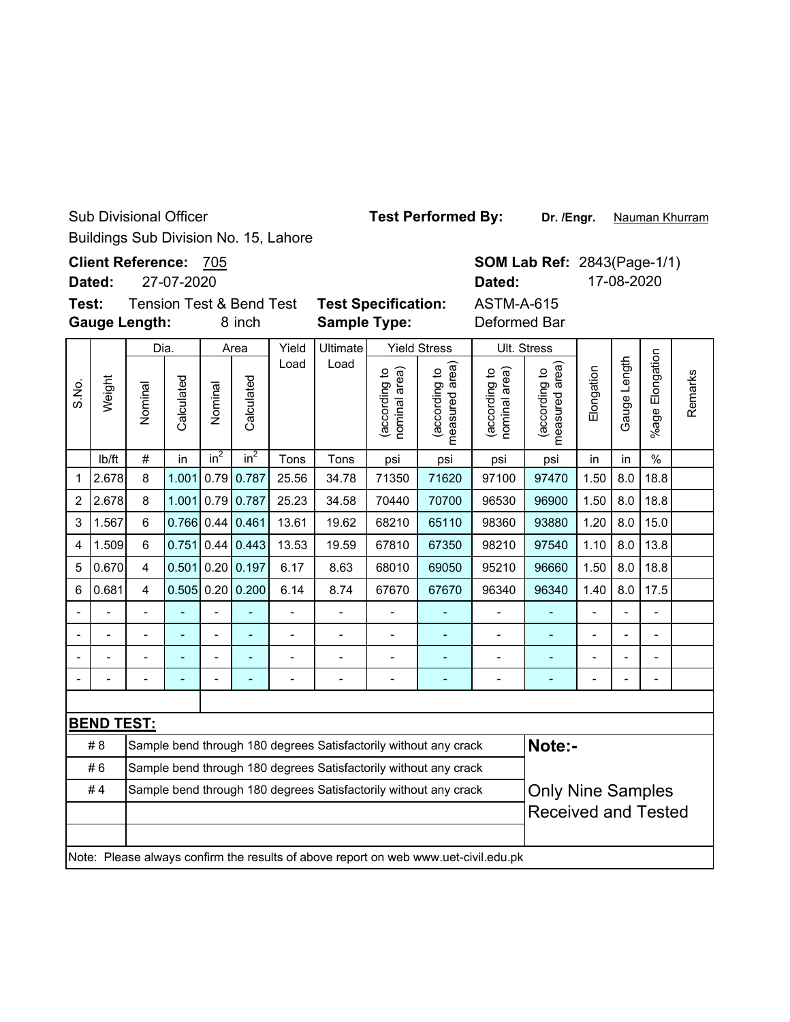Sub Divisional Officer

Buildings Sub Division No. 15, Lahore

**Client Reference:** 705

27-07-2020 **Dated:**

**Test: Gauge Length:**

Dia.

8 inch **Sample Type:** Deformed Bar Yield Stress

ASTM-A-615

**Dated:** 17-08-2020

Ult. Stress

**SOM Lab Ref: 2843(Page-1/1)** 

Nauman Khurram

Yield Ultimate Tension Test & Bend Test **Test Specification:** Area

%age Elongation %age Elongation Gauge Length Load Load (according to<br>measured area) (according to<br>measured area) Gauge Length (according to<br>nominal area) measured area) (according to<br>nominal area) measured area) (according to (according to (according to (according to Elongation nominal area) nominal area) Remarks Remarks Weight Calculated S.No. Calculated Calculated Calculated Nominal Nominal (according lb/ft  $\mid$  #  $\mid$  in  $\mid$  in $^{2}$   $\mid$  in $^{2}$   $\mid$  Tons  $\mid$  Tons  $\mid$  psi  $\mid$  psi  $\mid$  psi  $\mid$  in  $\mid$  in  $\mid$  % 1 |2.678| 8 |1.001| 0.79| 0.787| 25.56 | 34.78 | 71350 | 71620 | 97100 | 97470 | 1.50 | 8.0 | 18.8 2 |2.678| 8 |1.001| 0.79| 0.787| 25.23 | 34.58 | 70440 | 70700 | 96530 | 96900 | 1.50 | 8.0 | 18.8 3 |1.567 6 0.766 0.44 0.461 13.61 | 19.62 | 68210 | 65110 | 98360 | 93880 | 1.20 | 8.0 | 15.0 4 |1.509| 6 |0.751|0.44|0.443| 13.53 | 19.59 | 67810 | 67350 | 98210 | 97540 | 1.10 | 8.0 | 13.8 5 0.670 4 0.501 0.20 0.197 6.17 8.63 68010 69050 95210 96660 1.50 8.0 18.8 6 |0.681| 4 |0.505| 0.20| 0.200| 6.14 | 8.74 | 67670 | 67670 | 96340 | 96340 | 1.40 | 8.0 | 17.5 -- - - - - - - - - - - - -- -- - - - - - - - - - - - -- -- - - - - - - - - - - - -- -- - - - - - - - - - - - -- **BEND TEST:** #8 Sample bend through 180 degrees Satisfactorily without any crack **Note:-** #6 Sample bend through 180 degrees Satisfactorily without any crack Only Nine Samples # 4 Sample bend through 180 degrees Satisfactorily without any crack Received and Tested

Note: Please always confirm the results of above report on web www.uet-civil.edu.pk

**Test Performed By:**

**Dr. /Engr.**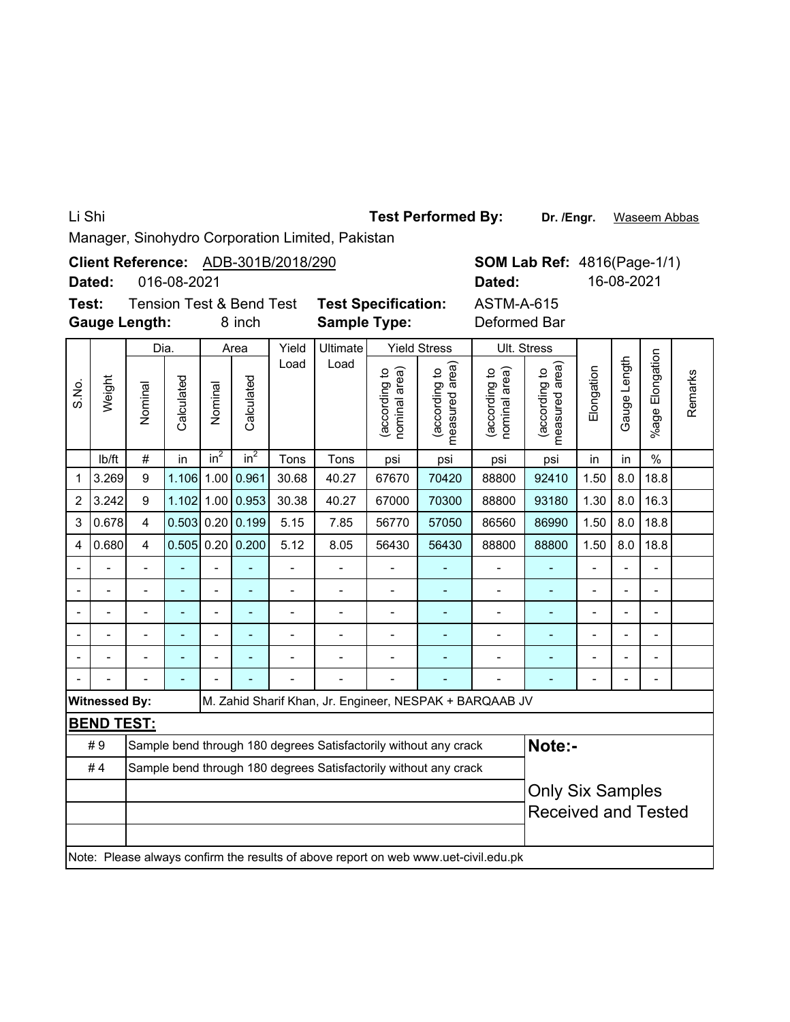Li Shi

Test Performed By: Dr. /Engr. Waseem Abbas

Manager, Sinohydro Corporation Limited, Pakistan

|                                                                                     |                      |                                                                                                                              |                             |         |                                     | Client Reference: ADB-301B/2018/290 |                                                                  |                                |                                 |                                                         | <b>SOM Lab Ref: 4816(Page-1/1)</b> |                          |                          |                          |         |
|-------------------------------------------------------------------------------------|----------------------|------------------------------------------------------------------------------------------------------------------------------|-----------------------------|---------|-------------------------------------|-------------------------------------|------------------------------------------------------------------|--------------------------------|---------------------------------|---------------------------------------------------------|------------------------------------|--------------------------|--------------------------|--------------------------|---------|
|                                                                                     | Dated:               |                                                                                                                              | 016-08-2021                 |         |                                     |                                     |                                                                  |                                |                                 | Dated:                                                  |                                    |                          | 16-08-2021               |                          |         |
| Test:                                                                               |                      |                                                                                                                              |                             |         | <b>Tension Test &amp; Bend Test</b> |                                     | <b>Test Specification:</b>                                       |                                |                                 | <b>ASTM-A-615</b>                                       |                                    |                          |                          |                          |         |
|                                                                                     |                      | <b>Gauge Length:</b>                                                                                                         |                             |         | 8 inch                              |                                     | <b>Sample Type:</b>                                              |                                |                                 | Deformed Bar                                            |                                    |                          |                          |                          |         |
|                                                                                     |                      | Dia.                                                                                                                         |                             |         | Area                                | Yield                               | Ultimate                                                         |                                | <b>Yield Stress</b>             |                                                         | Ult. Stress                        |                          |                          |                          |         |
| S.No.                                                                               | Weight               | Nominal                                                                                                                      | Calculated                  | Nominal | Calculated                          | Load                                | Load                                                             | (according to<br>nominal area) | (according to<br>measured area) | (according to<br>nominal area)                          | (according to<br>measured area)    | Elongation               | Gauge Length             | Elongation<br>%age F     | Remarks |
|                                                                                     | lb/ft                | $\#$                                                                                                                         | in                          | $in^2$  | $in^2$                              | Tons                                | Tons                                                             | psi<br>67670                   | psi                             | psi                                                     | psi                                | in                       | in                       | $\frac{0}{0}$            |         |
| $\mathbf 1$                                                                         | 3.269                | 9                                                                                                                            | 1.106                       | 1.00    | 0.961                               | 30.68                               | 88800                                                            | 92410                          | 1.50                            | 8.0                                                     | 18.8                               |                          |                          |                          |         |
| $\overline{2}$                                                                      | 3.242                | 1.00<br>0.953<br>30.38<br>9<br>1.102<br>40.27<br>67000<br>70300<br>88800<br>93180<br>1.30<br>8.0<br>16.3                     |                             |         |                                     |                                     |                                                                  |                                |                                 |                                                         |                                    |                          |                          |                          |         |
| 3                                                                                   | 0.678                | 0.20<br>0.199<br>$\overline{\mathbf{4}}$<br>0.503<br>5.15<br>7.85<br>56770<br>57050<br>86560<br>86990<br>1.50<br>8.0<br>18.8 |                             |         |                                     |                                     |                                                                  |                                |                                 |                                                         |                                    |                          |                          |                          |         |
| 4                                                                                   | 0.680                | $\overline{4}$                                                                                                               | 0.20 0.200<br>0.505<br>5.12 |         |                                     |                                     | 8.05                                                             | 56430                          | 56430                           | 88800                                                   | 88800                              | 1.50                     | 8.0                      | 18.8                     |         |
|                                                                                     |                      |                                                                                                                              |                             |         |                                     |                                     |                                                                  |                                |                                 |                                                         |                                    | $\blacksquare$           |                          |                          |         |
| $\overline{\phantom{0}}$                                                            |                      |                                                                                                                              | ÷,                          |         | ÷,                                  | $\overline{\phantom{0}}$            | $\overline{a}$                                                   | $\overline{a}$                 | ÷,                              | -                                                       | ÷,                                 | $\overline{\phantom{a}}$ | $\frac{1}{2}$            | $\overline{\phantom{0}}$ |         |
|                                                                                     |                      | $\overline{\phantom{m}}$                                                                                                     |                             |         | $\overline{a}$                      | $\overline{\phantom{m}}$            | $\overline{a}$                                                   | $\overline{a}$                 | ÷,                              | -                                                       | ÷,                                 | $\overline{\phantom{a}}$ | $\overline{\phantom{m}}$ | $\overline{\phantom{0}}$ |         |
|                                                                                     |                      |                                                                                                                              |                             |         |                                     |                                     |                                                                  |                                |                                 |                                                         |                                    |                          |                          |                          |         |
|                                                                                     |                      | $\overline{\phantom{0}}$                                                                                                     | L,                          |         | L,                                  |                                     |                                                                  | $\overline{a}$                 | L,                              | $\overline{a}$                                          |                                    |                          | $\overline{a}$           | $\overline{a}$           |         |
|                                                                                     |                      |                                                                                                                              |                             |         |                                     |                                     |                                                                  |                                |                                 |                                                         |                                    |                          |                          | $\overline{a}$           |         |
|                                                                                     | <b>Witnessed By:</b> |                                                                                                                              |                             |         |                                     |                                     |                                                                  |                                |                                 | M. Zahid Sharif Khan, Jr. Engineer, NESPAK + BARQAAB JV |                                    |                          |                          |                          |         |
|                                                                                     | <b>BEND TEST:</b>    |                                                                                                                              |                             |         |                                     |                                     |                                                                  |                                |                                 |                                                         |                                    |                          |                          |                          |         |
|                                                                                     | #9                   |                                                                                                                              |                             |         |                                     |                                     | Sample bend through 180 degrees Satisfactorily without any crack |                                |                                 |                                                         | Note:-                             |                          |                          |                          |         |
|                                                                                     | #4                   |                                                                                                                              |                             |         |                                     |                                     | Sample bend through 180 degrees Satisfactorily without any crack |                                |                                 |                                                         |                                    |                          |                          |                          |         |
|                                                                                     |                      |                                                                                                                              |                             |         |                                     |                                     |                                                                  |                                |                                 |                                                         | <b>Only Six Samples</b>            |                          |                          |                          |         |
|                                                                                     |                      |                                                                                                                              |                             |         |                                     |                                     |                                                                  |                                |                                 |                                                         | <b>Received and Tested</b>         |                          |                          |                          |         |
| Note: Please always confirm the results of above report on web www.uet-civil.edu.pk |                      |                                                                                                                              |                             |         |                                     |                                     |                                                                  |                                |                                 |                                                         |                                    |                          |                          |                          |         |
|                                                                                     |                      |                                                                                                                              |                             |         |                                     |                                     |                                                                  |                                |                                 |                                                         |                                    |                          |                          |                          |         |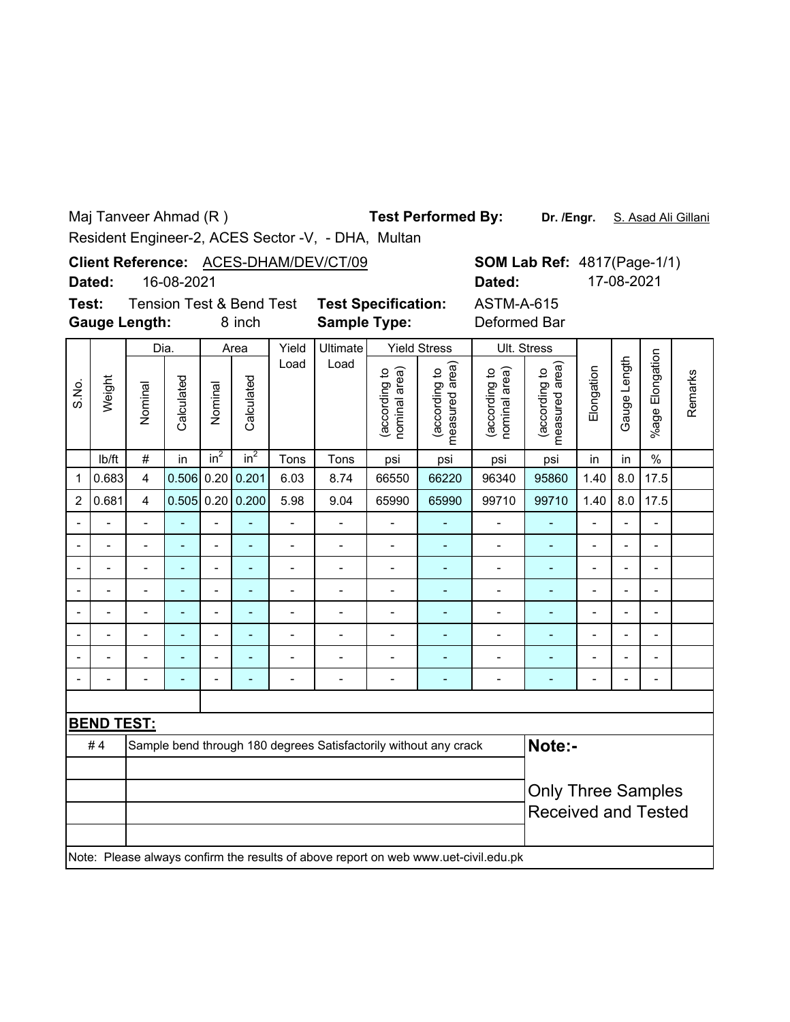Maj Tanveer Ahmad (R )

**Test Performed By:**

**Dr. /Engr.** S. Asad Ali Gillani

Resident Engineer-2, ACES Sector -V, - DHA, Multan

|        |            | Client Reference: ACES-DHAM/DEV/CT/09 |
|--------|------------|---------------------------------------|
| Dated: | 16-08-2021 |                                       |

|                                                                                             | <b>SOM Lab Ref: 4817 (Page-1/1)</b> |
|---------------------------------------------------------------------------------------------|-------------------------------------|
| Dated:                                                                                      | 17-08-2021                          |
| $\begin{array}{ccccccccccccccccc}\nA & \cap & \top & A & A & A & A & A & \top\n\end{array}$ |                                     |

**Test:**

**Gauge Length:**

8 inch **Sample Type:** Deformed Bar Tension Test & Bend Test **Test Specification:** ASTM-A-615

|                |                   |                            | Dia.       |                          | Area                     | Yield                        | Ultimate       |                                | <b>Yield Stress</b>                                                                 |                                | Ult. Stress                     |                          |                          |                          |         |
|----------------|-------------------|----------------------------|------------|--------------------------|--------------------------|------------------------------|----------------|--------------------------------|-------------------------------------------------------------------------------------|--------------------------------|---------------------------------|--------------------------|--------------------------|--------------------------|---------|
| S.No.          | Weight            | Nominal                    | Calculated | Nominal                  | Calculated               | Load                         | Load           | nominal area)<br>(according to | measured area)<br>(according to                                                     | (according to<br>nominal area) | measured area)<br>(according to | Elongation               | Gauge Length             | %age Elongation          | Remarks |
|                | lb/ft             | $\#$                       | in         | $in^2$                   | $in^2$                   | Tons                         | Tons           | psi                            | psi                                                                                 | psi                            | psi                             | in                       | in                       | $\%$                     |         |
| 1              | 0.683             | $\overline{4}$             | 0.506      | 0.20                     | 0.201                    | 6.03                         | 8.74           | 66550                          | 66220                                                                               | 96340                          | 95860                           | 1.40                     | 8.0                      | 17.5                     |         |
| $\overline{2}$ | 0.681             | $\overline{4}$             |            |                          | $0.505$ 0.20 0.200       | 5.98                         | 9.04           | 65990                          | 65990                                                                               | 99710                          | 99710                           | 1.40                     | 8.0                      | 17.5                     |         |
|                |                   | $\blacksquare$             |            | $\overline{\phantom{a}}$ |                          | $\overline{a}$               |                |                                |                                                                                     | $\overline{a}$                 |                                 |                          |                          | ۰                        |         |
| $\blacksquare$ | $\blacksquare$    | -                          | ÷          | $\overline{\phantom{a}}$ | ÷                        | $\qquad \qquad \blacksquare$ | Ĭ.             | $\overline{a}$                 | $\overline{\phantom{a}}$                                                            | $\overline{\phantom{m}}$       | ÷,                              | $\overline{a}$           | $\overline{\phantom{a}}$ | $\overline{\phantom{a}}$ |         |
|                |                   | $\blacksquare$             | ÷          | $\overline{a}$           | $\blacksquare$           | $\overline{a}$               | $\blacksquare$ | $\overline{a}$                 | $\overline{\phantom{a}}$                                                            | $\overline{\phantom{m}}$       | ÷,                              | $\overline{a}$           | $\overline{\phantom{a}}$ | $\overline{\phantom{a}}$ |         |
|                | $\blacksquare$    | $\blacksquare$             | ÷          | $\blacksquare$           | $\overline{\phantom{a}}$ | $\overline{a}$               | $\blacksquare$ | $\overline{a}$                 | ٠                                                                                   | $\overline{\phantom{m}}$       | $\qquad \qquad \blacksquare$    | $\overline{\phantom{a}}$ | $\overline{\phantom{a}}$ | $\blacksquare$           |         |
|                | $\overline{a}$    | $\overline{a}$             | L,         | $\blacksquare$           | ä,                       | $\overline{a}$               | $\blacksquare$ | $\overline{a}$                 | ٠                                                                                   | $\overline{\phantom{0}}$       | ÷                               | $\blacksquare$           | $\overline{a}$           | $\blacksquare$           |         |
|                | $\overline{a}$    | $\overline{a}$             | ÷          | $\blacksquare$           | ä,                       | $\overline{a}$               | $\blacksquare$ | $\overline{a}$                 | ä,                                                                                  | $\overline{a}$                 | ä,                              | ÷,                       | $\overline{a}$           | $\overline{\phantom{0}}$ |         |
|                |                   |                            |            | $\overline{a}$           |                          | $\overline{a}$               | Ē,             | $\blacksquare$                 | Ē,                                                                                  | $\blacksquare$                 | ÷                               |                          |                          | $\blacksquare$           |         |
|                |                   |                            | ÷          | $\blacksquare$           |                          | $\blacksquare$               | Ē,             | $\overline{a}$                 | ÷                                                                                   | -                              | ٠                               |                          | ۰                        | $\blacksquare$           |         |
|                |                   |                            |            |                          |                          |                              |                |                                |                                                                                     |                                |                                 |                          |                          |                          |         |
|                | <b>BEND TEST:</b> |                            |            |                          |                          |                              |                |                                |                                                                                     |                                |                                 |                          |                          |                          |         |
|                | #4                |                            |            |                          |                          |                              |                |                                | Sample bend through 180 degrees Satisfactorily without any crack                    |                                | Note:-                          |                          |                          |                          |         |
|                |                   |                            |            |                          |                          |                              |                |                                |                                                                                     |                                |                                 |                          |                          |                          |         |
|                |                   |                            |            |                          |                          |                              |                |                                |                                                                                     |                                | <b>Only Three Samples</b>       |                          |                          |                          |         |
|                |                   | <b>Received and Tested</b> |            |                          |                          |                              |                |                                |                                                                                     |                                |                                 |                          |                          |                          |         |
|                |                   |                            |            |                          |                          |                              |                |                                |                                                                                     |                                |                                 |                          |                          |                          |         |
|                |                   |                            |            |                          |                          |                              |                |                                | Note: Please always confirm the results of above report on web www.uet-civil.edu.pk |                                |                                 |                          |                          |                          |         |
|                |                   |                            |            |                          |                          |                              |                |                                |                                                                                     |                                |                                 |                          |                          |                          |         |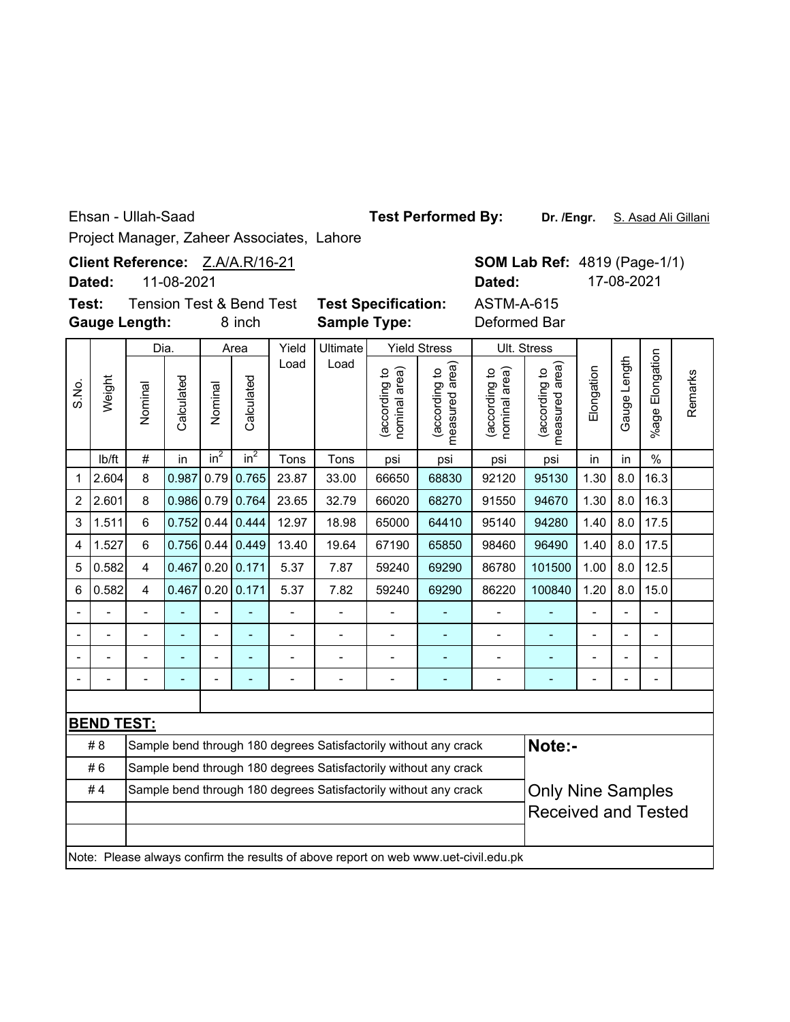Ehsan - Ullah-Saad

**Test Performed By:**

**Dr. /Engr.** S. Asad Ali Gillani

**SOM Lab Ref: 4819 (Page-1/1)** 

**Dated:** 17-08-2021

Project Manager, Zaheer Associates, Lahore

Client Reference: Z.A/A.R/16-21

**Dated:** 11-08-2021

**Gauge Length: Test:**

8 inch **Sample Type:** Deformed Bar Tension Test & Bend Test **Test Specification:** ASTM-A-615

|                          |                   | Dia.                                                             |            |                | Area                         | Yield                    | <b>Ultimate</b> |                               | <b>Yield Stress</b>                                                                 |                                | Ult. Stress                     |                |                |                          |         |
|--------------------------|-------------------|------------------------------------------------------------------|------------|----------------|------------------------------|--------------------------|-----------------|-------------------------------|-------------------------------------------------------------------------------------|--------------------------------|---------------------------------|----------------|----------------|--------------------------|---------|
| S.No.                    | Weight            | Nominal                                                          | Calculated | Nominal        | Calculated                   | Load                     | Load            | nominal area)<br>according to | measured area)<br>(according to                                                     | nominal area)<br>(according to | measured area)<br>(according to | Elongation     | Gauge Length   | Elongation<br>$%$ age    | Remarks |
|                          | lb/ft             | $\#$                                                             | in         | $in^2$         | in <sup>2</sup>              | Tons                     | Tons            | psi                           | psi                                                                                 | psi                            | psi                             | in             | in             | $\%$                     |         |
| 1                        | 2.604             | 8                                                                | 0.987      |                | $0.79$ 0.765                 | 23.87                    | 33.00           | 66650                         | 68830                                                                               | 92120                          | 95130                           | 1.30           | 8.0            | 16.3                     |         |
| 2                        | 2.601             | 8                                                                | 0.986      |                | $0.79$ 0.764                 | 23.65                    | 32.79           | 66020                         | 68270                                                                               | 91550                          | 94670                           | 1.30           | 8.0            | 16.3                     |         |
| 3                        | 1.511             | $6\phantom{1}$                                                   | 0.752      | 0.44           | 0.444                        | 12.97                    | 18.98           | 65000                         | 64410                                                                               | 95140                          | 94280                           | 1.40           | 8.0            | 17.5                     |         |
| 4                        | 1.527             | $6\phantom{1}$                                                   |            |                | $0.756$ 0.44 0.449           | 13.40                    | 19.64           | 67190                         | 65850                                                                               | 98460                          | 96490                           | 1.40           | 8.0            | 17.5                     |         |
| 5                        | 0.582             | 4                                                                | 0.467      |                | $0.20$ 0.171                 | 5.37                     | 7.87            | 59240                         | 69290                                                                               | 86780                          | 101500                          | 1.00           | 8.0            | 12.5                     |         |
| 6                        | 0.582             | 4                                                                | 0.467      |                | $0.20$ 0.171                 | 5.37                     | 7.82            | 59240                         | 69290                                                                               | 86220                          | 100840                          | 1.20           | 8.0            | 15.0                     |         |
| $\overline{\phantom{a}}$ |                   | $\overline{a}$                                                   |            | $\overline{a}$ | ÷,                           | $\overline{a}$           |                 |                               |                                                                                     |                                |                                 | $\blacksquare$ | $\overline{a}$ | $\blacksquare$           |         |
|                          |                   |                                                                  | ÷          | $\overline{a}$ | ٠                            | $\overline{\phantom{0}}$ |                 | $\overline{\phantom{a}}$      | ۰                                                                                   | $\overline{\phantom{0}}$       | $\blacksquare$                  | $\blacksquare$ | $\overline{a}$ | $\blacksquare$           |         |
|                          | $\blacksquare$    | $\overline{a}$                                                   |            | $\overline{a}$ | ÷                            | $\overline{a}$           |                 | ۰                             | ÷                                                                                   | $\overline{a}$                 | ٠                               | $\blacksquare$ | $\overline{a}$ | $\overline{\phantom{0}}$ |         |
|                          |                   | $\overline{a}$                                                   | ÷          | $\overline{a}$ | $\qquad \qquad \blacksquare$ | $\overline{a}$           | -               | $\blacksquare$                | ÷                                                                                   | $\overline{\phantom{0}}$       | $\qquad \qquad \blacksquare$    | $\blacksquare$ | $\overline{a}$ | $\overline{\phantom{0}}$ |         |
|                          |                   |                                                                  |            |                |                              |                          |                 |                               |                                                                                     |                                |                                 |                |                |                          |         |
|                          | <b>BEND TEST:</b> |                                                                  |            |                |                              |                          |                 |                               |                                                                                     |                                |                                 |                |                |                          |         |
|                          | #8                |                                                                  |            |                |                              |                          |                 |                               | Sample bend through 180 degrees Satisfactorily without any crack                    |                                | Note:-                          |                |                |                          |         |
|                          | #6                |                                                                  |            |                |                              |                          |                 |                               | Sample bend through 180 degrees Satisfactorily without any crack                    |                                |                                 |                |                |                          |         |
|                          | #4                | Sample bend through 180 degrees Satisfactorily without any crack |            |                | <b>Only Nine Samples</b>     |                          |                 |                               |                                                                                     |                                |                                 |                |                |                          |         |
|                          |                   | <b>Received and Tested</b>                                       |            |                |                              |                          |                 |                               |                                                                                     |                                |                                 |                |                |                          |         |
|                          |                   |                                                                  |            |                |                              |                          |                 |                               |                                                                                     |                                |                                 |                |                |                          |         |
|                          |                   |                                                                  |            |                |                              |                          |                 |                               | Note: Please always confirm the results of above report on web www.uet-civil.edu.pk |                                |                                 |                |                |                          |         |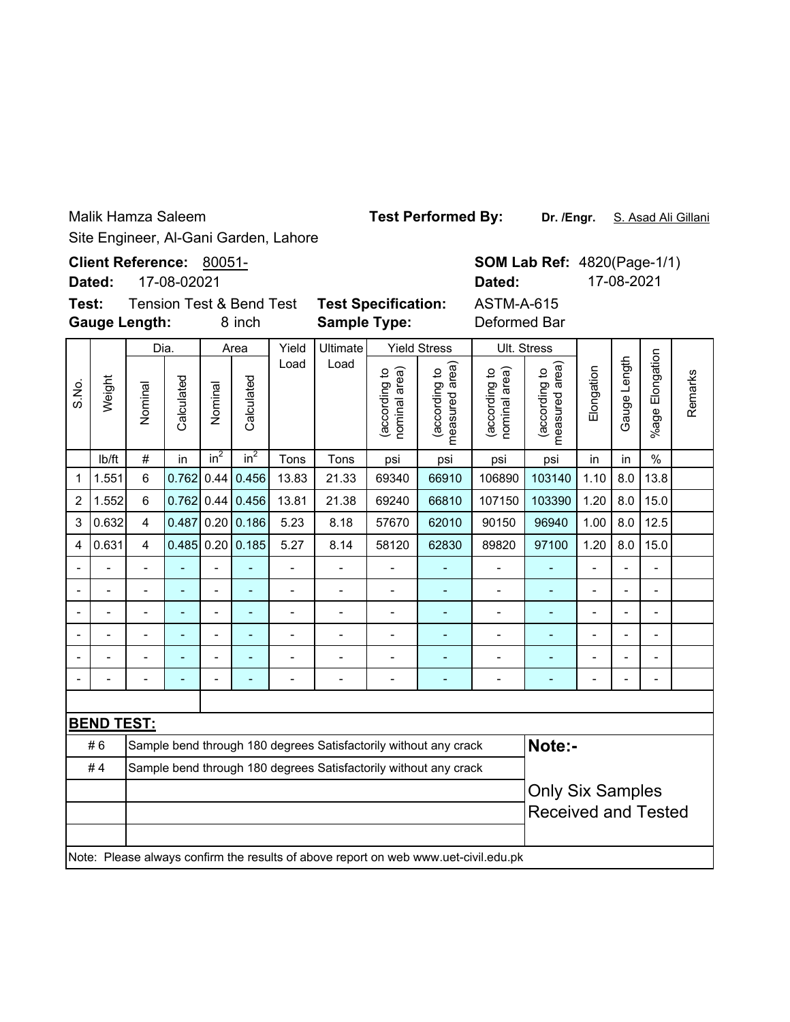Malik Hamza Saleem

Site Engineer, Al-Gani Garden, Lahore

|       | Dated: | <b>Client Reference: 80051-</b>                             | 17-08-02021 |                   |            |       |                                                   |                                     |                                         | <b>SOM Lab Ref</b><br>Dated:   |                                         |
|-------|--------|-------------------------------------------------------------|-------------|-------------------|------------|-------|---------------------------------------------------|-------------------------------------|-----------------------------------------|--------------------------------|-----------------------------------------|
| Test: |        | <b>Tension Test &amp; Bend Test</b><br><b>Gauge Length:</b> |             |                   | 8 inch     |       | <b>Test Specification:</b><br><b>Sample Type:</b> |                                     | <b>ASTM-A-615</b><br>Deformed Bar       |                                |                                         |
|       |        | Dia.                                                        |             |                   | Area       | Yield | <b>Ultimate</b>                                   |                                     | <b>Yield Stress</b>                     |                                | Ult. Stress                             |
| S.No. | Weight | Nominal                                                     | Calculated  | Nominal           | Calculated | Load  | Load                                              | area)<br>ೆ<br>(according<br>nominal | area)<br>(according to<br>measured area | nominal area)<br>(according to | area)<br>(according to<br>measured area |
|       | lb/ft  | #                                                           | in          | $\overline{in^2}$ | $in^2$     | Tons  | Tons                                              | psi                                 | psi                                     | psi                            | psi                                     |
|       |        |                                                             |             |                   |            |       |                                                   |                                     |                                         |                                |                                         |

%age Elongation %age Elongation Gauge Length (according to<br>measured area) Gauge Length measured area) (according to Elongation Remarks Remarks lb/ft  $\mid$  #  $\mid$  in  $\mid$  in $^{2}$   $\mid$  in $^{2}$   $\mid$  Tons  $\mid$  Tons  $\mid$  psi  $\mid$  psi  $\mid$  psi  $\mid$  in  $\mid$  in  $\mid$  % 1  $\vert$ 1.551 6  $\vert$ 0.762 0.44 0.456 13.83 | 21.33 | 69340 | 66910 | 106890 | 103140 | 1.10 | 8.0 | 13.8 2 1.552 6 0.762 0.44 0.456 13.81 21.38 69240 66810 107150 103390 1.20 8.0 15.0 3 0.632 4 0.487 0.20 0.186 5.23 8.18 57670 62010 90150 96940 1.00 8.0 12.5 4 |0.631| 4 |0.485| 0.20| 0.185| 5.27 | 8.14 | 58120 | 62830 | 89820 | 97100 | 1.20 | 8.0 | 15.0 -- - - - - - - - - - - - -- -- - - - - - - - - - - - -- -- - - - - - - - - - - - -- -- - - - - - - - - - - - -- -- - - - - - - - - - - - -- -- - - - - - - - - - - - -- **BEND TEST: Note:-** # 6 Sample bend through 180 degrees Satisfactorily without any crack

| #6 | Sample bend through 180 degrees Satisfactorily without any crack                    | Note:-                  |  |  |  |  |  |  |  |  |  |  |
|----|-------------------------------------------------------------------------------------|-------------------------|--|--|--|--|--|--|--|--|--|--|
| #4 | Sample bend through 180 degrees Satisfactorily without any crack                    |                         |  |  |  |  |  |  |  |  |  |  |
|    |                                                                                     | <b>Only Six Samples</b> |  |  |  |  |  |  |  |  |  |  |
|    |                                                                                     | Received and Tested     |  |  |  |  |  |  |  |  |  |  |
|    |                                                                                     |                         |  |  |  |  |  |  |  |  |  |  |
|    | Note: Please always confirm the results of above report on web www.uet-civil.edu.pk |                         |  |  |  |  |  |  |  |  |  |  |

**Test Performed By:**

Dr. /Engr. S. Asad Ali Gillani

**SOM Lab Ref: 4820(Page-1/1)**  $-615$ **Dated:** 17-08-2021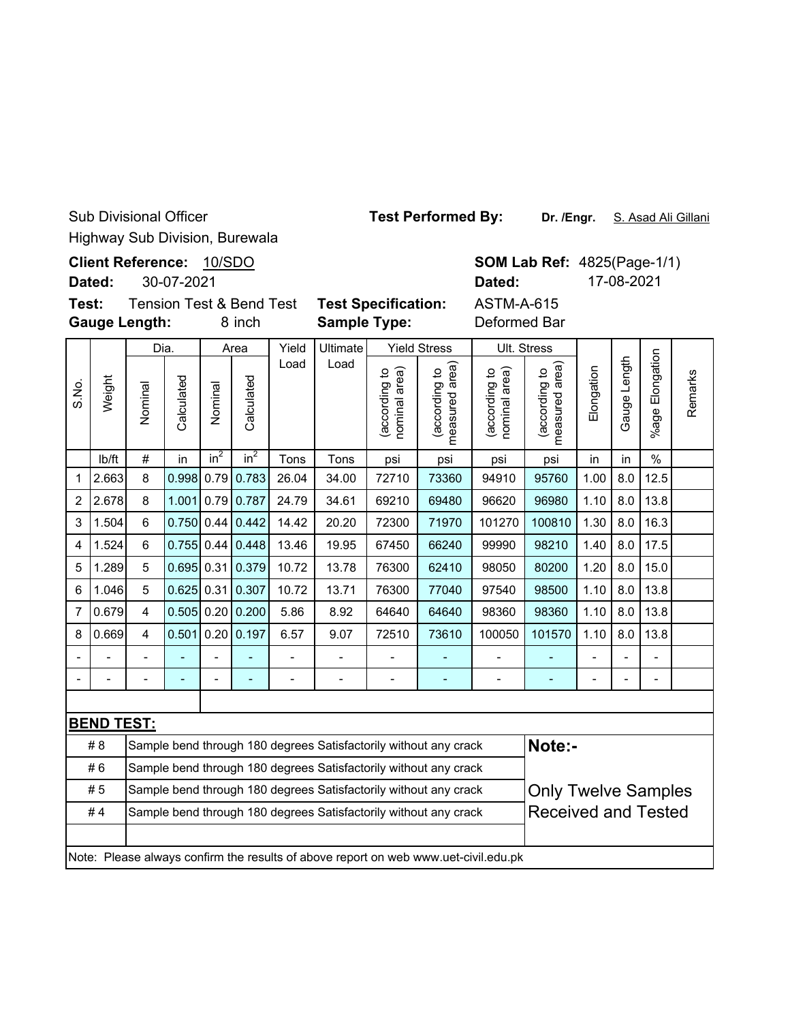Highway Sub Division, Burewala Sub Divisional Officer

|        | <b>Client Reference:</b> | 10/SDO |
|--------|--------------------------|--------|
| Dotad: | ומחת דח חפ               |        |

**Dated:** 30-07-2021

**Gauge Length: Test: Tension Test & Bend Test** 

8 inch

|        |                                                   |  |                     | <b>SOM Lab Ref: 4825(Page-1/1)</b> |             |  |  |  |  |
|--------|---------------------------------------------------|--|---------------------|------------------------------------|-------------|--|--|--|--|
|        |                                                   |  |                     |                                    | 17-08-2021  |  |  |  |  |
| est    | <b>Test Specification:</b><br><b>Sample Type:</b> |  |                     | ASTM-A-615<br>Deformed Bar         |             |  |  |  |  |
| Yield  | Ultimate                                          |  | <b>Yield Stress</b> |                                    | Ult. Stress |  |  |  |  |
| أممم ا |                                                   |  |                     |                                    |             |  |  |  |  |

|                |                   | Dia.                                                                                           |            |                 | Area       | Yield | Ultimate       |                               | <b>Yield Stress</b>                                                                 | Ult. Stress                    |                                 |                |                |                 |         |
|----------------|-------------------|------------------------------------------------------------------------------------------------|------------|-----------------|------------|-------|----------------|-------------------------------|-------------------------------------------------------------------------------------|--------------------------------|---------------------------------|----------------|----------------|-----------------|---------|
| S.No.          | Weight            | Nominal                                                                                        | Calculated | Nominal         | Calculated | Load  | Load           | nominal area)<br>according to | measured area)<br>(according to                                                     | nominal area)<br>(according to | measured area)<br>(according to | Elongation     | Gauge Length   | %age Elongation | Remarks |
|                | lb/ft             | $\#$                                                                                           | in         | in <sup>2</sup> | $in^2$     | Tons  | Tons           | psi                           | psi                                                                                 | psi                            | psi                             | in             | in             | $\%$            |         |
| 1              | 2.663             | 8                                                                                              | 0.998      | 0.79            | 0.783      | 26.04 | 34.00          | 72710                         | 73360                                                                               | 94910                          | 95760                           | 1.00           | 8.0            | 12.5            |         |
| $\overline{2}$ | 2.678             | 8                                                                                              | 1.001      | 0.79            | 0.787      | 24.79 | 34.61          | 69210                         | 69480                                                                               | 96620                          | 96980                           | 1.10           | 8.0            | 13.8            |         |
| 3              | 1.504             | 6                                                                                              | 0.750      | 0.44            | 0.442      | 14.42 | 20.20          | 72300                         | 71970                                                                               | 101270                         | 100810                          | 1.30           | 8.0            | 16.3            |         |
| 4              | 1.524             | 6                                                                                              | 0.755      | 0.44            | 0.448      | 13.46 | 19.95          | 67450                         | 66240                                                                               | 99990                          | 98210                           | 1.40           | 8.0            | 17.5            |         |
| 5              | 1.289             | 5                                                                                              | 0.695      | 0.31            | 0.379      | 10.72 | 13.78          | 76300                         | 62410                                                                               | 98050                          | 80200                           | 1.20           | 8.0            | 15.0            |         |
| 6              | 1.046             | 5                                                                                              | 0.625      | 0.31            | 0.307      | 10.72 | 13.71          | 76300                         | 77040                                                                               | 97540                          | 98500                           | 1.10           | 8.0            | 13.8            |         |
| $\overline{7}$ | 0.679             | $\overline{4}$                                                                                 | 0.505      | 0.20            | 0.200      | 5.86  | 8.92           | 64640                         | 64640                                                                               | 98360                          | 98360                           | 1.10           | 8.0            | 13.8            |         |
| 8              | 0.669             | 4                                                                                              | 0.501      | 0.20            | 0.197      | 6.57  | 9.07           | 72510                         | 73610                                                                               | 100050                         | 101570                          | 1.10           | 8.0            | 13.8            |         |
|                |                   | $\blacksquare$                                                                                 |            |                 |            |       | $\overline{a}$ | $\overline{a}$                |                                                                                     | $\overline{a}$                 |                                 | $\overline{a}$ | $\overline{a}$ |                 |         |
|                |                   |                                                                                                |            |                 |            |       | $\overline{a}$ | $\blacksquare$                | L,                                                                                  | $\overline{\phantom{a}}$       | ÷                               |                |                |                 |         |
|                |                   |                                                                                                |            |                 |            |       |                |                               |                                                                                     |                                |                                 |                |                |                 |         |
|                | <b>BEND TEST:</b> |                                                                                                |            |                 |            |       |                |                               |                                                                                     |                                |                                 |                |                |                 |         |
|                | #8                |                                                                                                |            |                 |            |       |                |                               | Sample bend through 180 degrees Satisfactorily without any crack                    |                                | Note:-                          |                |                |                 |         |
|                | #6                |                                                                                                |            |                 |            |       |                |                               | Sample bend through 180 degrees Satisfactorily without any crack                    |                                |                                 |                |                |                 |         |
|                | #5                |                                                                                                |            |                 |            |       |                |                               | Sample bend through 180 degrees Satisfactorily without any crack                    |                                | <b>Only Twelve Samples</b>      |                |                |                 |         |
|                | #4                | <b>Received and Tested</b><br>Sample bend through 180 degrees Satisfactorily without any crack |            |                 |            |       |                |                               |                                                                                     |                                |                                 |                |                |                 |         |
|                |                   |                                                                                                |            |                 |            |       |                |                               |                                                                                     |                                |                                 |                |                |                 |         |
|                |                   |                                                                                                |            |                 |            |       |                |                               | Note: Please always confirm the results of above report on web www.uet-civil.edu.pk |                                |                                 |                |                |                 |         |

**Test Performed By:**

**Dr. /Engr.** S. Asad Ali Gillani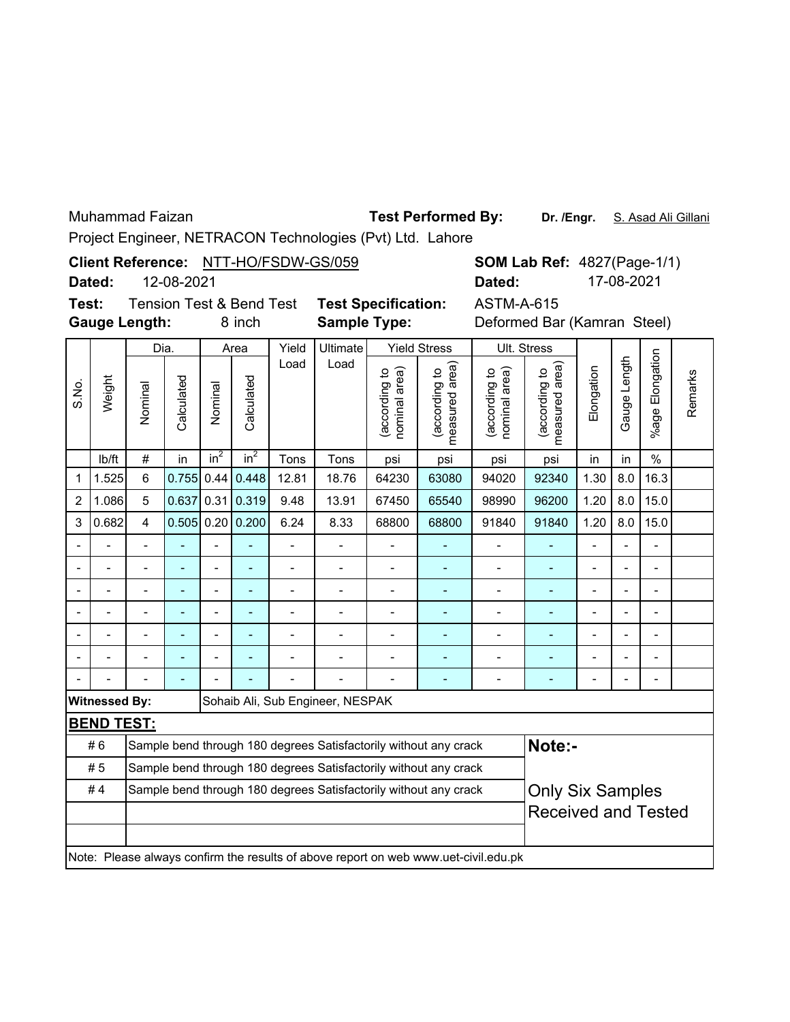Muhammad Faizan

## **Test Performed By:**

Dr. /Engr. S. Asad Ali Gillani

Project Engineer, NETRACON Technologies (Pvt) Ltd. Lahore

**Client Reference:** NTT-HO/FSDW-GS/059

12-08-2021 **Dated:**

**Test:** Tension Test & Bend Test **Test Specification: Gauge Length:**

**Sample Type:**

8 inch **Sample Type:** Deformed Bar (Kamran Steel) ASTM-A-615

| Dia.  |                      |                |                |                 | Area               | Yield                    | Ultimate                         |                                | <b>Yield Stress</b>                                                                 |                                | Ult. Stress                     |                          |                |                          |         |
|-------|----------------------|----------------|----------------|-----------------|--------------------|--------------------------|----------------------------------|--------------------------------|-------------------------------------------------------------------------------------|--------------------------------|---------------------------------|--------------------------|----------------|--------------------------|---------|
| S.No. | Weight               | Nominal        | Calculated     | Nominal         | Calculated         | Load                     | Load                             | nominal area)<br>(according to | measured area<br>(according to                                                      | (according to<br>nominal area) | measured area)<br>(according to | Elongation               | Gauge Length   | Elongation<br>$%$ age    | Remarks |
|       | lb/ft                | $\#$           | in             | in <sup>2</sup> | $in^2$             | Tons                     | Tons                             | psi                            | psi                                                                                 | psi                            | psi                             | in                       | in             | $\frac{0}{0}$            |         |
| 1     | 1.525                | $6\phantom{1}$ | 0.755          | 0.44            | 0.448              | 12.81                    | 18.76                            | 64230                          | 63080                                                                               | 94020                          | 92340                           | 1.30                     | 8.0            | 16.3                     |         |
| 2     | 1.086                | 5              | 0.637          | 0.31            | 0.319              | 9.48                     | 13.91                            | 67450                          | 65540                                                                               | 98990                          | 96200                           | 1.20                     | 8.0            | 15.0                     |         |
| 3     | 0.682                | 4              |                |                 | $0.505$ 0.20 0.200 | 6.24                     | 8.33                             | 68800                          | 68800                                                                               | 91840                          | 91840                           | 1.20                     | 8.0            | 15.0                     |         |
|       |                      |                |                |                 |                    | $\overline{\phantom{0}}$ | $\blacksquare$                   | $\overline{a}$                 | ٠                                                                                   | $\overline{a}$                 |                                 | $\overline{\phantom{0}}$ | $\blacksquare$ | $\blacksquare$           |         |
|       |                      | $\blacksquare$ | $\blacksquare$ | $\blacksquare$  | ÷                  | $\overline{a}$           | $\blacksquare$                   | $\overline{a}$                 | ٠                                                                                   | -                              | L,                              | $\overline{\phantom{0}}$ | $\blacksquare$ | $\blacksquare$           |         |
|       |                      | $\overline{a}$ | $\blacksquare$ | $\overline{a}$  | ۳                  | $\overline{a}$           | ٠                                | $\overline{a}$                 | $\blacksquare$                                                                      | $\overline{a}$                 | ÷                               | $\blacksquare$           | $\overline{a}$ | $\blacksquare$           |         |
|       |                      | $\blacksquare$ | $\blacksquare$ | $\overline{a}$  | ÷                  | -                        | ٠                                | ÷                              | ÷                                                                                   | -                              | ÷                               | -                        | $\blacksquare$ | $\overline{\phantom{a}}$ |         |
|       |                      |                |                |                 |                    |                          |                                  | $\blacksquare$                 |                                                                                     |                                |                                 |                          |                | $\blacksquare$           |         |
|       |                      |                |                |                 |                    |                          |                                  |                                |                                                                                     |                                |                                 |                          |                |                          |         |
|       |                      |                |                |                 |                    |                          |                                  |                                |                                                                                     |                                |                                 |                          |                |                          |         |
|       | <b>Witnessed By:</b> |                |                |                 |                    |                          | Sohaib Ali, Sub Engineer, NESPAK |                                |                                                                                     |                                |                                 |                          |                |                          |         |
|       | <b>BEND TEST:</b>    |                |                |                 |                    |                          |                                  |                                |                                                                                     |                                |                                 |                          |                |                          |         |
|       | #6                   |                |                |                 |                    |                          |                                  |                                | Sample bend through 180 degrees Satisfactorily without any crack                    |                                | Note:-                          |                          |                |                          |         |
|       | #5                   |                |                |                 |                    |                          |                                  |                                | Sample bend through 180 degrees Satisfactorily without any crack                    |                                |                                 |                          |                |                          |         |
|       | #4                   |                |                |                 |                    |                          |                                  |                                | Sample bend through 180 degrees Satisfactorily without any crack                    |                                | <b>Only Six Samples</b>         |                          |                |                          |         |
|       |                      |                |                |                 |                    |                          | <b>Received and Tested</b>       |                                |                                                                                     |                                |                                 |                          |                |                          |         |
|       |                      |                |                |                 |                    |                          |                                  |                                |                                                                                     |                                |                                 |                          |                |                          |         |
|       |                      |                |                |                 |                    |                          |                                  |                                | Note: Please always confirm the results of above report on web www.uet-civil.edu.pk |                                |                                 |                          |                |                          |         |
|       |                      |                |                |                 |                    |                          |                                  |                                |                                                                                     |                                |                                 |                          |                |                          |         |

**SOM Lab Ref: 4827(Page-1/1) Dated:** 17-08-2021